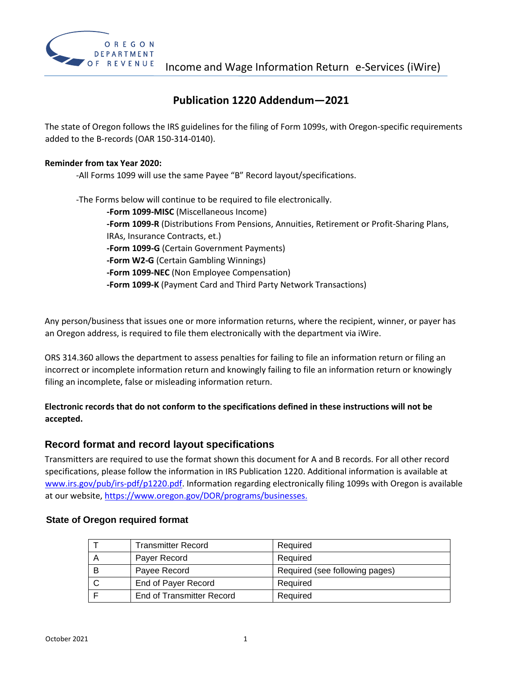

### **Publication 1220 Addendum—2021**

The state of Oregon follows the IRS guidelines for the filing of Form 1099s, with Oregon-specific requirements added to the B-records (OAR 150-314-0140).

#### **Reminder from tax Year 2020:**

-All Forms 1099 will use the same Payee "B" Record layout/specifications.

-The Forms below will continue to be required to file electronically. **-Form 1099-MISC** (Miscellaneous Income) **-Form 1099-R** (Distributions From Pensions, Annuities, Retirement or Profit-Sharing Plans, IRAs, Insurance Contracts, et.) **-Form 1099-G** (Certain Government Payments) **-Form W2-G** (Certain Gambling Winnings) **-Form 1099-NEC** (Non Employee Compensation) **-Form 1099-K** (Payment Card and Third Party Network Transactions)

Any person/business that issues one or more information returns, where the recipient, winner, or payer has an Oregon address, is required to file them electronically with the department via iWire.

ORS 314.360 allows the department to assess penalties for failing to file an information return or filing an incorrect or incomplete information return and knowingly failing to file an information return or knowingly filing an incomplete, false or misleading information return.

### **Electronic records that do not conform to the specifications defined in these instructions will not be accepted.**

### **Record format and record layout specifications**

Transmitters are required to use the format shown this document for A and B records. For all other record specifications, please follow the information in IRS Publication 1220. Additional information is available a[t](http://www.irs.gov/pub/irs-pdf/p1220.pdf) [www.irs.gov/pub/irs-pdf/p1220.pdf.](http://www.irs.gov/pub/irs-pdf/p1220.pdf) Information regarding electronically filing 1099s with Oregon is available at our website, https://www.oregon.gov/DOR/programs/businesses.

## T | Transmitter Record | Required A Payer Record Required B Payee Record Required (see following pages) C | End of Payer Record | Required F | End of Transmitter Record | Required

#### **State of Oregon required format**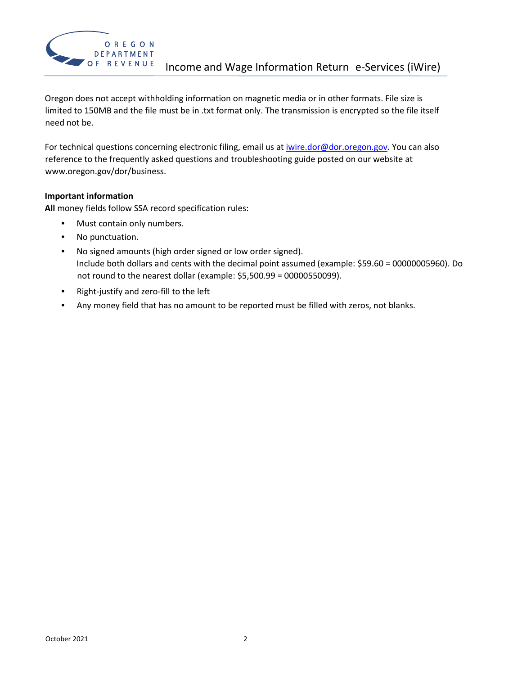

Oregon does not accept withholding information on magnetic media or in other formats. File size is limited to 150MB and the file must be in .txt format only. The transmission is encrypted so the file itself need not be.

For technical questions concerning electronic filing, email us at *iwire.dor@dor.oregon.gov*. You can also reference to the frequently asked questions and troubleshooting guide posted on our website at www.oregon.gov/dor/business.

#### **Important information**

**All** money fields follow SSA record specification rules:

- Must contain only numbers.
- No punctuation.
- No signed amounts (high order signed or low order signed). Include both dollars and cents with the decimal point assumed (example: \$59.60 = 00000005960). Do not round to the nearest dollar (example: \$5,500.99 = 00000550099).
- Right-justify and zero-fill to the left
- Any money field that has no amount to be reported must be filled with zeros, not blanks.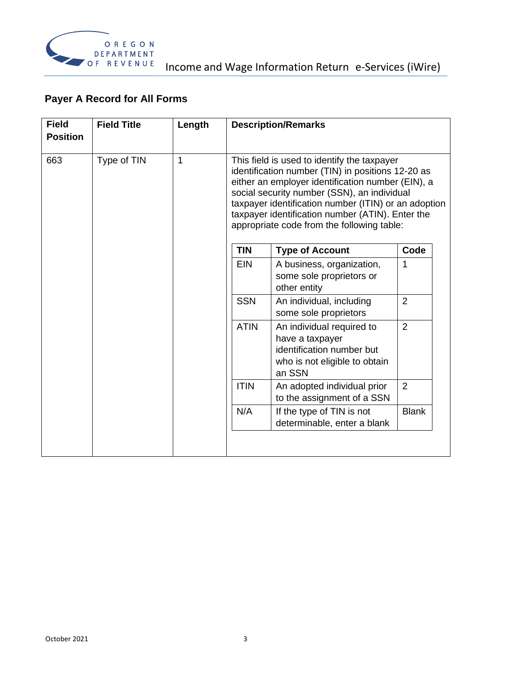

# **Payer A Record for All Forms**

| <b>Field</b><br><b>Position</b> | <b>Field Title</b> | Length |             | <b>Description/Remarks</b>                                                                                                                                                                                                                                                                                                                                     |                |
|---------------------------------|--------------------|--------|-------------|----------------------------------------------------------------------------------------------------------------------------------------------------------------------------------------------------------------------------------------------------------------------------------------------------------------------------------------------------------------|----------------|
| 663                             | Type of TIN        | 1      |             | This field is used to identify the taxpayer<br>identification number (TIN) in positions 12-20 as<br>either an employer identification number (EIN), a<br>social security number (SSN), an individual<br>taxpayer identification number (ITIN) or an adoption<br>taxpayer identification number (ATIN). Enter the<br>appropriate code from the following table: |                |
|                                 |                    |        | <b>TIN</b>  | <b>Type of Account</b>                                                                                                                                                                                                                                                                                                                                         | Code           |
|                                 |                    |        | <b>EIN</b>  | A business, organization,<br>some sole proprietors or<br>other entity                                                                                                                                                                                                                                                                                          | 1              |
|                                 |                    |        | <b>SSN</b>  | An individual, including<br>some sole proprietors                                                                                                                                                                                                                                                                                                              | $\overline{2}$ |
|                                 |                    |        | <b>ATIN</b> | An individual required to<br>have a taxpayer<br>identification number but<br>who is not eligible to obtain<br>an SSN                                                                                                                                                                                                                                           | $\overline{2}$ |
|                                 |                    |        | <b>ITIN</b> | An adopted individual prior<br>to the assignment of a SSN                                                                                                                                                                                                                                                                                                      | $\overline{2}$ |
|                                 |                    |        | N/A         | If the type of TIN is not<br>determinable, enter a blank                                                                                                                                                                                                                                                                                                       | <b>Blank</b>   |
|                                 |                    |        |             |                                                                                                                                                                                                                                                                                                                                                                |                |